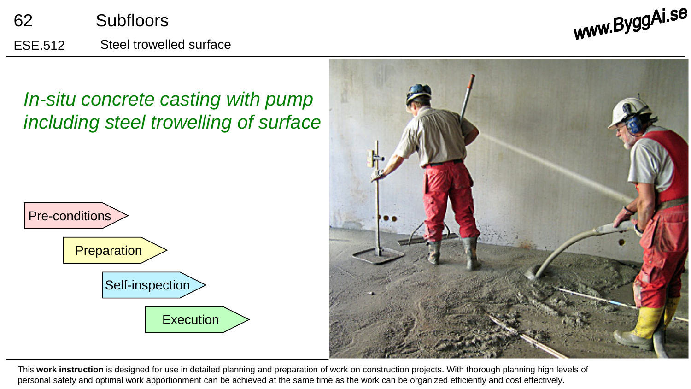





This **work instruction** is designed for use in detailed planning and preparation of work on construction projects. With thorough planning high levels of personal safety and optimal work apportionment can be achieved at the same time as the work can be organized efficiently and cost effectively.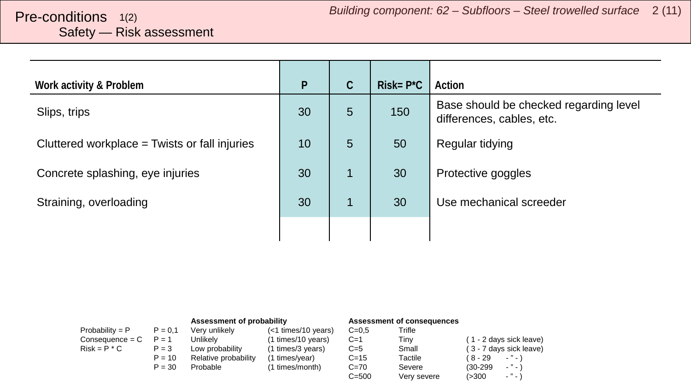# <span id="page-1-0"></span>Safety — Risk assessment

| Work activity & Problem                         | $\mathsf{P}$ | $\mathsf C$ | $Risk = P^{\star}C$ | Action                                                              |
|-------------------------------------------------|--------------|-------------|---------------------|---------------------------------------------------------------------|
| Slips, trips                                    | 30           | 5           | 150                 | Base should be checked regarding level<br>differences, cables, etc. |
| Cluttered workplace $=$ Twists or fall injuries | 10           | 5           | 50                  | Regular tidying                                                     |
| Concrete splashing, eye injuries                | 30           |             | 30                  | Protective goggles                                                  |
| Straining, overloading                          | 30           |             | 30                  | Use mechanical screeder                                             |
|                                                 |              |             |                     |                                                                     |

|                   |           | Assessment of probability |                     | Assessment of consequences |             |                                        |
|-------------------|-----------|---------------------------|---------------------|----------------------------|-------------|----------------------------------------|
| Probability = $P$ | $P = 0.1$ | Very unlikely             | (<1 times/10 years) | $C = 0.5$                  | Trifle      |                                        |
| $Consequence = C$ | $P = 1$   | Unlikelv                  | (1 times/10 years)  | $C=1$                      | Tinv        | (1 - 2 days sick leave)                |
| $Risk = P * C$    | $P = 3$   | Low probability           | (1 times/3 years)   | $C=5$                      | Small       | (3 - 7 days sick leave)                |
|                   | $P = 10$  | Relative probability      | (1 times/year)      | $C = 15$                   | Tactile     | ( 8 - 29<br>$ "$ $ \lambda$            |
|                   | $P = 30$  | Probable                  | (1 times/month)     | $C=70$                     | Severe      | $ "$ $ \lambda$<br>$(30-299)$          |
|                   |           |                           |                     | $C = 500$                  | Very severe | $\sim$ $^{10}$ $\sim$ $^{11}$<br>(>300 |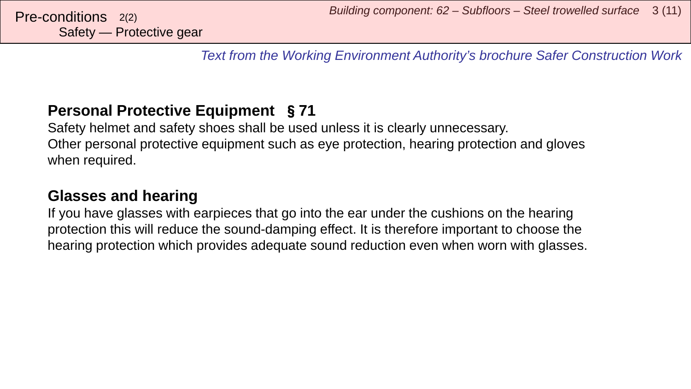*Text from the Working Environment Authority's brochure Safer Construction Work*

## **Personal Protective Equipment** §**71**

Safety helmet and safety shoes shall be used unless it is clearly unnecessary. Other personal protective equipment such as eye protection, hearing protection and gloves when required.

## **Glasses and hearing**

If you have glasses with earpieces that go into the ear under the cushions on the hearing protection this will reduce the sound-damping effect. It is therefore important to choose the hearing protection which provides adequate sound reduction even when worn with glasses.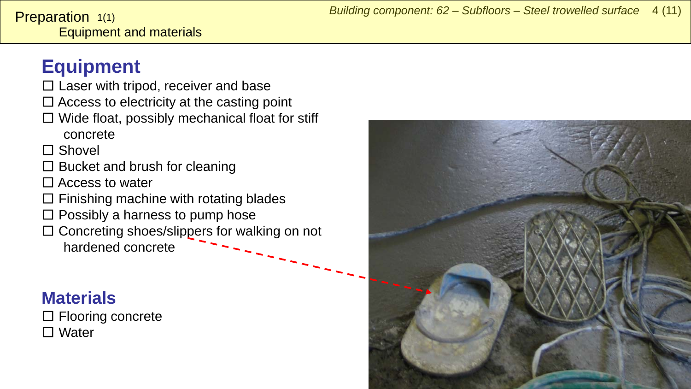# <span id="page-3-0"></span>**Equipment**

- $\square$  Laser with tripod, receiver and base
- $\square$  Access to electricity at the casting point
- $\square$  Wide float, possibly mechanical float for stiff

concrete

□ Shovel

- $\square$  Bucket and brush for cleaning
- $\Box$  Access to water
- $\square$  Finishing machine with rotating blades
- $\square$  Possibly a harness to pump hose
- □ Concreting shoes/slippers for walking on not hardened concrete

# **Materials**

□ Flooring concrete □ Water

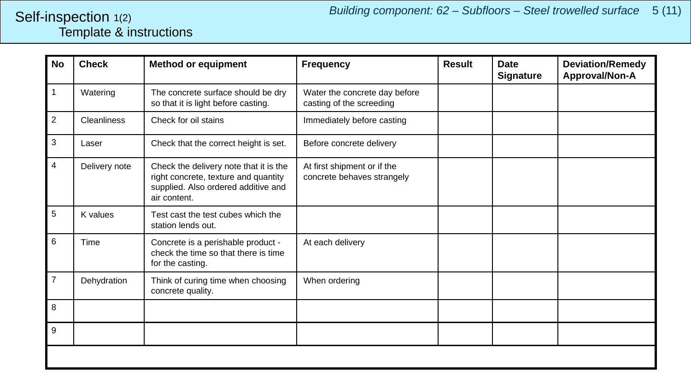#### <span id="page-4-0"></span>Template & instructions Self-inspection 1(2)

| <b>No</b>      | <b>Check</b>       | <b>Method or equipment</b>                                                                                                            | <b>Frequency</b>                                          | <b>Result</b> | <b>Date</b><br><b>Signature</b> | <b>Deviation/Remedy</b><br>Approval/Non-A |
|----------------|--------------------|---------------------------------------------------------------------------------------------------------------------------------------|-----------------------------------------------------------|---------------|---------------------------------|-------------------------------------------|
| 1              | Watering           | The concrete surface should be dry<br>so that it is light before casting.                                                             | Water the concrete day before<br>casting of the screeding |               |                                 |                                           |
| $\overline{c}$ | <b>Cleanliness</b> | Check for oil stains                                                                                                                  | Immediately before casting                                |               |                                 |                                           |
| 3              | Laser              | Check that the correct height is set.                                                                                                 | Before concrete delivery                                  |               |                                 |                                           |
| 4              | Delivery note      | Check the delivery note that it is the<br>right concrete, texture and quantity<br>supplied. Also ordered additive and<br>air content. | At first shipment or if the<br>concrete behaves strangely |               |                                 |                                           |
| $\sqrt{5}$     | K values           | Test cast the test cubes which the<br>station lends out.                                                                              |                                                           |               |                                 |                                           |
| 6              | Time               | Concrete is a perishable product -<br>check the time so that there is time<br>for the casting.                                        | At each delivery                                          |               |                                 |                                           |
| $\overline{7}$ | Dehydration        | Think of curing time when choosing<br>concrete quality.                                                                               | When ordering                                             |               |                                 |                                           |
| 8              |                    |                                                                                                                                       |                                                           |               |                                 |                                           |
| 9              |                    |                                                                                                                                       |                                                           |               |                                 |                                           |
|                |                    |                                                                                                                                       |                                                           |               |                                 |                                           |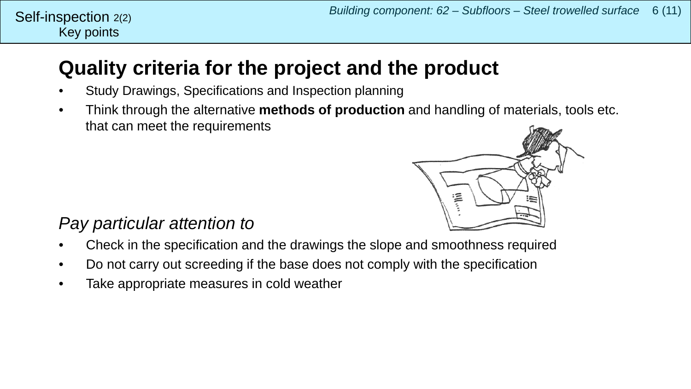#### Key points Self-inspection 2(2)

# **Quality criteria for the project and the product**

- Study Drawings, Specifications and Inspection planning
- Think through the alternative **methods of production** and handling of materials, tools etc. that can meet the requirements



## *Pay particular attention to*

- Check in the specification and the drawings the slope and smoothness required
- Do not carry out screeding if the base does not comply with the specification
- Take appropriate measures in cold weather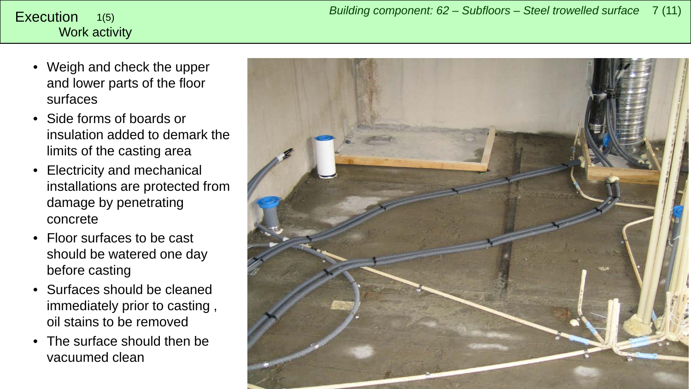#### <span id="page-6-0"></span>Work activity 1(5)

- Weigh and check the upper and lower parts of the floor surfaces
- Side forms of boards or insulation added to demark the limits of the casting area
- Electricity and mechanical installations are protected from damage by penetrating concrete
- Floor surfaces to be cast should be watered one day before casting
- Surfaces should be cleaned immediately prior to casting , oil stains to be removed
- The surface should then be vacuumed clean

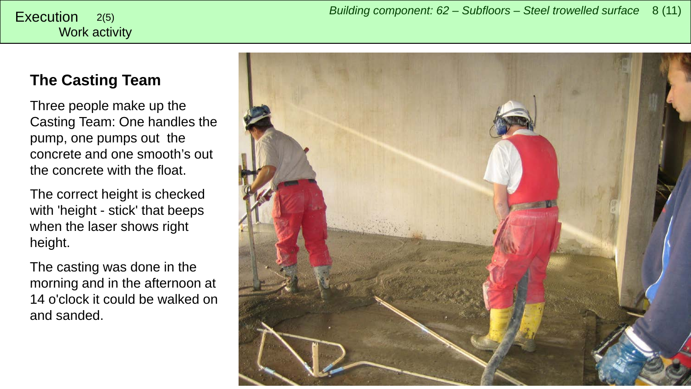### **The Casting Team**

Three people make up the Casting Team: One handles the pump, one pumps out the concrete and one smooth's out the concrete with the float.

The correct height is checked with 'height - stick' that beeps when the laser shows right height.

The casting was done in the morning and in the afternoon at 14 o'clock it could be walked on and sanded.

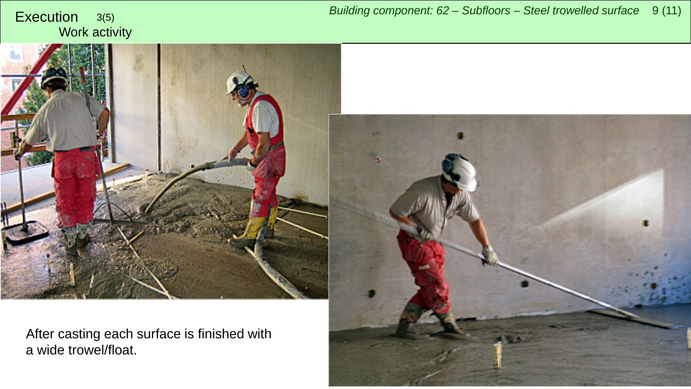

After casting each surface is finished with a wide trowel/float.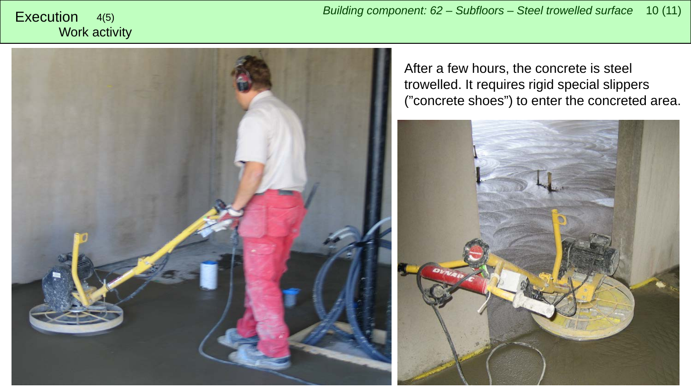

After a few hours, the concrete is steel trowelled. It requires rigid special slippers ("concrete shoes") to enter the concreted area.